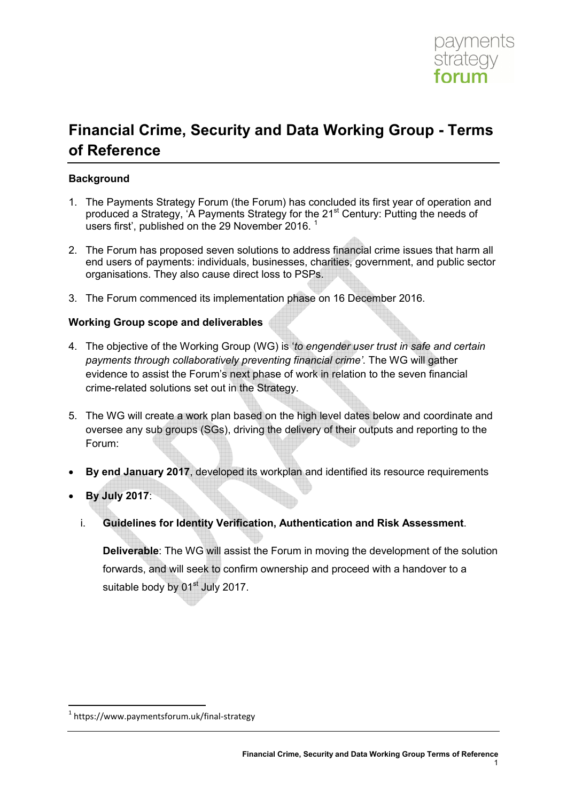

# **Financial Crime, Security and Data Working Group - Terms of Reference**

# **Background**

- 1. The Payments Strategy Forum (the Forum) has concluded its first year of operation and produced a Strategy, 'A Payments Strategy for the 21<sup>st</sup> Century: Putting the needs of users first', published on the 29 November 2016.
- 2. The Forum has proposed seven solutions to address financial crime issues that harm all end users of payments: individuals, businesses, charities, government, and public sector organisations. They also cause direct loss to PSPs.
- 3. The Forum commenced its implementation phase on 16 December 2016.

# **Working Group scope and deliverables**

- 4. The objective of the Working Group (WG) is '*to engender user trust in safe and certain payments through collaboratively preventing financial crime'*. The WG will gather evidence to assist the Forum's next phase of work in relation to the seven financial crime-related solutions set out in the Strategy.
- 5. The WG will create a work plan based on the high level dates below and coordinate and oversee any sub groups (SGs), driving the delivery of their outputs and reporting to the Forum:
- **By end January 2017**, developed its workplan and identified its resource requirements
- **By July 2017**:

<u>.</u>

i. **Guidelines for Identity Verification, Authentication and Risk Assessment**.

**Deliverable**: The WG will assist the Forum in moving the development of the solution forwards, and will seek to confirm ownership and proceed with a handover to a suitable body by 01<sup>st</sup> July 2017.

<sup>1</sup> https://www.paymentsforum.uk/final-strategy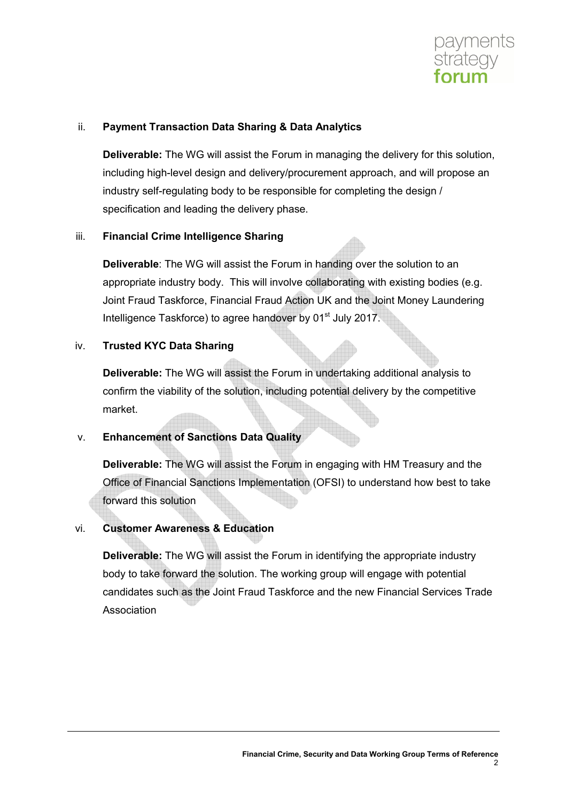

## ii. **Payment Transaction Data Sharing & Data Analytics**

**Deliverable:** The WG will assist the Forum in managing the delivery for this solution, including high-level design and delivery/procurement approach, and will propose an industry self-regulating body to be responsible for completing the design / specification and leading the delivery phase.

# iii. **Financial Crime Intelligence Sharing**

**Deliverable**: The WG will assist the Forum in handing over the solution to an appropriate industry body. This will involve collaborating with existing bodies (e.g. Joint Fraud Taskforce, Financial Fraud Action UK and the Joint Money Laundering Intelligence Taskforce) to agree handover by 01<sup>st</sup> July 2017.

# iv. **Trusted KYC Data Sharing**

**Deliverable:** The WG will assist the Forum in undertaking additional analysis to confirm the viability of the solution, including potential delivery by the competitive market.

# v. **Enhancement of Sanctions Data Quality**

**Deliverable:** The WG will assist the Forum in engaging with HM Treasury and the Office of Financial Sanctions Implementation (OFSI) to understand how best to take forward this solution

# vi. **Customer Awareness & Education**

**Deliverable:** The WG will assist the Forum in identifying the appropriate industry body to take forward the solution. The working group will engage with potential candidates such as the Joint Fraud Taskforce and the new Financial Services Trade Association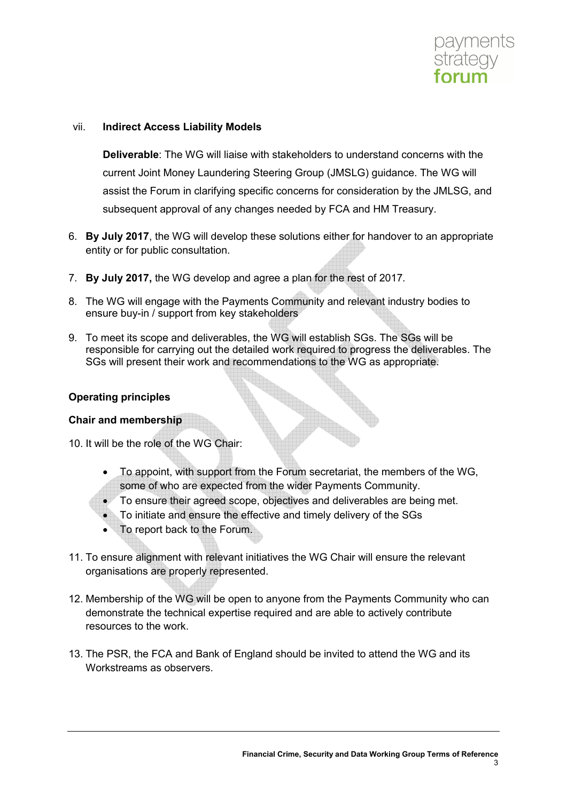

#### vii. **Indirect Access Liability Models**

**Deliverable**: The WG will liaise with stakeholders to understand concerns with the current Joint Money Laundering Steering Group (JMSLG) guidance. The WG will assist the Forum in clarifying specific concerns for consideration by the JMLSG, and subsequent approval of any changes needed by FCA and HM Treasury.

- 6. **By July 2017**, the WG will develop these solutions either for handover to an appropriate entity or for public consultation.
- 7. **By July 2017,** the WG develop and agree a plan for the rest of 2017.
- 8. The WG will engage with the Payments Community and relevant industry bodies to ensure buy-in / support from key stakeholders
- 9. To meet its scope and deliverables, the WG will establish SGs. The SGs will be responsible for carrying out the detailed work required to progress the deliverables. The SGs will present their work and recommendations to the WG as appropriate.

#### **Operating principles**

#### **Chair and membership**

- 10. It will be the role of the WG Chair:
	- To appoint, with support from the Forum secretariat, the members of the WG, some of who are expected from the wider Payments Community.
	- To ensure their agreed scope, objectives and deliverables are being met.
		- To initiate and ensure the effective and timely delivery of the SGs
	- To report back to the Forum.
- 11. To ensure alignment with relevant initiatives the WG Chair will ensure the relevant organisations are properly represented.
- 12. Membership of the WG will be open to anyone from the Payments Community who can demonstrate the technical expertise required and are able to actively contribute resources to the work.
- 13. The PSR, the FCA and Bank of England should be invited to attend the WG and its Workstreams as observers.